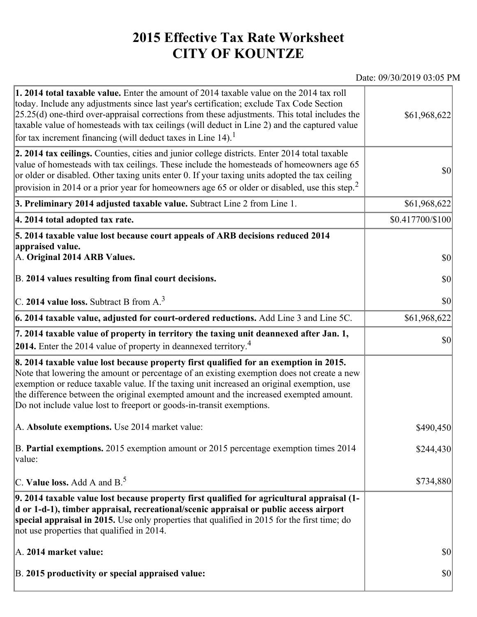## **2015 Effective Tax Rate Worksheet CITY OF KOUNTZE**

## Date: 09/30/2019 03:05 PM

| 1. 2014 total taxable value. Enter the amount of 2014 taxable value on the 2014 tax roll<br>today. Include any adjustments since last year's certification; exclude Tax Code Section<br>$[25.25(d)$ one-third over-appraisal corrections from these adjustments. This total includes the<br>taxable value of homesteads with tax ceilings (will deduct in Line 2) and the captured value<br>for tax increment financing (will deduct taxes in Line $14$ ). <sup>1</sup> | \$61,968,622     |
|-------------------------------------------------------------------------------------------------------------------------------------------------------------------------------------------------------------------------------------------------------------------------------------------------------------------------------------------------------------------------------------------------------------------------------------------------------------------------|------------------|
| 2. 2014 tax ceilings. Counties, cities and junior college districts. Enter 2014 total taxable<br>value of homesteads with tax ceilings. These include the homesteads of homeowners age 65<br>or older or disabled. Other taxing units enter 0. If your taxing units adopted the tax ceiling<br>provision in 2014 or a prior year for homeowners age 65 or older or disabled, use this step. <sup>2</sup>                                                                | \$0              |
| 3. Preliminary 2014 adjusted taxable value. Subtract Line 2 from Line 1.                                                                                                                                                                                                                                                                                                                                                                                                | \$61,968,622     |
| 4. 2014 total adopted tax rate.                                                                                                                                                                                                                                                                                                                                                                                                                                         | \$0.417700/\$100 |
| 5. 2014 taxable value lost because court appeals of ARB decisions reduced 2014<br>appraised value.<br>A. Original 2014 ARB Values.<br>B. 2014 values resulting from final court decisions.                                                                                                                                                                                                                                                                              | \$0<br>\$0       |
| C. 2014 value loss. Subtract B from $A3$                                                                                                                                                                                                                                                                                                                                                                                                                                | \$0              |
| 6. 2014 taxable value, adjusted for court-ordered reductions. Add Line 3 and Line 5C.                                                                                                                                                                                                                                                                                                                                                                                   | \$61,968,622     |
| 7. 2014 taxable value of property in territory the taxing unit deannexed after Jan. 1,<br><b>2014.</b> Enter the 2014 value of property in deannexed territory. <sup>4</sup>                                                                                                                                                                                                                                                                                            | \$0              |
| 8. 2014 taxable value lost because property first qualified for an exemption in 2015.<br>Note that lowering the amount or percentage of an existing exemption does not create a new<br>exemption or reduce taxable value. If the taxing unit increased an original exemption, use<br>the difference between the original exempted amount and the increased exempted amount.<br>Do not include value lost to freeport or goods-in-transit exemptions.                    |                  |
| A. Absolute exemptions. Use 2014 market value:                                                                                                                                                                                                                                                                                                                                                                                                                          | \$490,450        |
| B. Partial exemptions. 2015 exemption amount or 2015 percentage exemption times 2014<br>$\vert$ value:                                                                                                                                                                                                                                                                                                                                                                  | \$244,430        |
| C. Value loss. Add A and $B^5$ .                                                                                                                                                                                                                                                                                                                                                                                                                                        | \$734,880        |
| 9. 2014 taxable value lost because property first qualified for agricultural appraisal (1-<br>d or 1-d-1), timber appraisal, recreational/scenic appraisal or public access airport<br>special appraisal in 2015. Use only properties that qualified in 2015 for the first time; do<br>not use properties that qualified in 2014.                                                                                                                                       |                  |
| A. 2014 market value:                                                                                                                                                                                                                                                                                                                                                                                                                                                   | \$0              |
| B. 2015 productivity or special appraised value:                                                                                                                                                                                                                                                                                                                                                                                                                        | \$0              |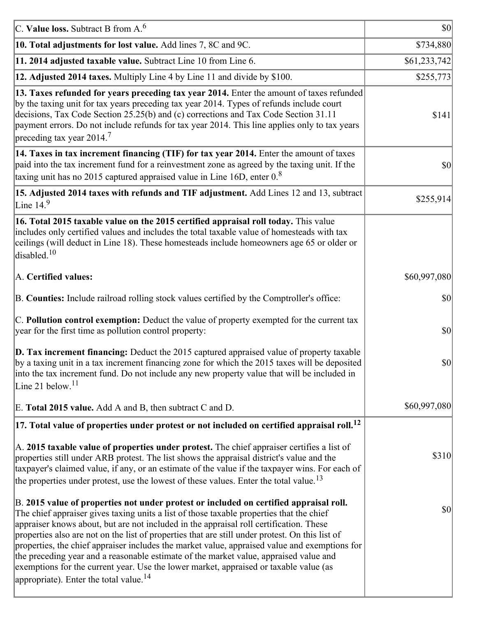| C. Value loss. Subtract B from $A6$                                                                                                                                                                                                                                                                                                                                                                                                                                                                                                                                                                                                                                                                                      | $ 10\rangle$ |
|--------------------------------------------------------------------------------------------------------------------------------------------------------------------------------------------------------------------------------------------------------------------------------------------------------------------------------------------------------------------------------------------------------------------------------------------------------------------------------------------------------------------------------------------------------------------------------------------------------------------------------------------------------------------------------------------------------------------------|--------------|
| 10. Total adjustments for lost value. Add lines 7, 8C and 9C.                                                                                                                                                                                                                                                                                                                                                                                                                                                                                                                                                                                                                                                            | \$734,880    |
| 11. 2014 adjusted taxable value. Subtract Line 10 from Line 6.                                                                                                                                                                                                                                                                                                                                                                                                                                                                                                                                                                                                                                                           | \$61,233,742 |
| 12. Adjusted 2014 taxes. Multiply Line 4 by Line 11 and divide by \$100.                                                                                                                                                                                                                                                                                                                                                                                                                                                                                                                                                                                                                                                 | \$255,773    |
| 13. Taxes refunded for years preceding tax year 2014. Enter the amount of taxes refunded<br>by the taxing unit for tax years preceding tax year 2014. Types of refunds include court<br>decisions, Tax Code Section 25.25(b) and (c) corrections and Tax Code Section 31.11<br>payment errors. Do not include refunds for tax year 2014. This line applies only to tax years<br>preceding tax year 2014. <sup>7</sup>                                                                                                                                                                                                                                                                                                    | \$141        |
| 14. Taxes in tax increment financing (TIF) for tax year 2014. Enter the amount of taxes<br>paid into the tax increment fund for a reinvestment zone as agreed by the taxing unit. If the<br>taxing unit has no 2015 captured appraised value in Line 16D, enter $08$                                                                                                                                                                                                                                                                                                                                                                                                                                                     | 30           |
| 15. Adjusted 2014 taxes with refunds and TIF adjustment. Add Lines 12 and 13, subtract<br>Line $149$                                                                                                                                                                                                                                                                                                                                                                                                                                                                                                                                                                                                                     | \$255,914]   |
| 16. Total 2015 taxable value on the 2015 certified appraisal roll today. This value<br>includes only certified values and includes the total taxable value of homesteads with tax<br>ceilings (will deduct in Line 18). These homesteads include homeowners age 65 or older or<br>disabled. <sup>10</sup>                                                                                                                                                                                                                                                                                                                                                                                                                |              |
| A. Certified values:                                                                                                                                                                                                                                                                                                                                                                                                                                                                                                                                                                                                                                                                                                     | \$60,997,080 |
| B. Counties: Include railroad rolling stock values certified by the Comptroller's office:                                                                                                                                                                                                                                                                                                                                                                                                                                                                                                                                                                                                                                | \$0          |
| C. Pollution control exemption: Deduct the value of property exempted for the current tax<br>year for the first time as pollution control property:                                                                                                                                                                                                                                                                                                                                                                                                                                                                                                                                                                      | $ 10\rangle$ |
| $\vert$ D. Tax increment financing: Deduct the 2015 captured appraised value of property taxable<br>by a taxing unit in a tax increment financing zone for which the 2015 taxes will be deposited<br>into the tax increment fund. Do not include any new property value that will be included in<br>Line 21 below. <sup>11</sup>                                                                                                                                                                                                                                                                                                                                                                                         | \$0          |
| E. Total 2015 value. Add A and B, then subtract C and D.                                                                                                                                                                                                                                                                                                                                                                                                                                                                                                                                                                                                                                                                 | \$60,997,080 |
| $ 17$ . Total value of properties under protest or not included on certified appraisal roll. <sup>12</sup>                                                                                                                                                                                                                                                                                                                                                                                                                                                                                                                                                                                                               |              |
| A. 2015 taxable value of properties under protest. The chief appraiser certifies a list of<br>properties still under ARB protest. The list shows the appraisal district's value and the<br>taxpayer's claimed value, if any, or an estimate of the value if the taxpayer wins. For each of<br>the properties under protest, use the lowest of these values. Enter the total value. <sup>13</sup>                                                                                                                                                                                                                                                                                                                         | \$310        |
| B. 2015 value of properties not under protest or included on certified appraisal roll.<br>The chief appraiser gives taxing units a list of those taxable properties that the chief<br>appraiser knows about, but are not included in the appraisal roll certification. These<br>properties also are not on the list of properties that are still under protest. On this list of<br>properties, the chief appraiser includes the market value, appraised value and exemptions for<br>the preceding year and a reasonable estimate of the market value, appraised value and<br>exemptions for the current year. Use the lower market, appraised or taxable value (as<br>appropriate). Enter the total value. <sup>14</sup> | \$0          |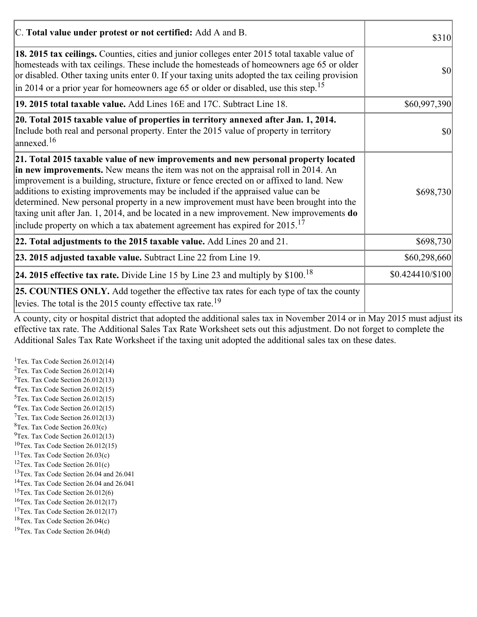| C. Total value under protest or not certified: Add A and B.                                                                                                                                                                                                                                                                                                                                                                                                                                                                                                                                                                                  | \$310                               |
|----------------------------------------------------------------------------------------------------------------------------------------------------------------------------------------------------------------------------------------------------------------------------------------------------------------------------------------------------------------------------------------------------------------------------------------------------------------------------------------------------------------------------------------------------------------------------------------------------------------------------------------------|-------------------------------------|
| 18. 2015 tax ceilings. Counties, cities and junior colleges enter 2015 total taxable value of<br>homesteads with tax ceilings. These include the homesteads of homeowners age 65 or older<br>or disabled. Other taxing units enter 0. If your taxing units adopted the tax ceiling provision<br>$\vert$ in 2014 or a prior year for homeowners age 65 or older or disabled, use this step. <sup>15</sup>                                                                                                                                                                                                                                     | $\vert \mathbf{S} \mathbf{O} \vert$ |
| 19. 2015 total taxable value. Add Lines 16E and 17C. Subtract Line 18.                                                                                                                                                                                                                                                                                                                                                                                                                                                                                                                                                                       | \$60,997,390                        |
| 20. Total 2015 taxable value of properties in territory annexed after Jan. 1, 2014.<br>Include both real and personal property. Enter the 2015 value of property in territory<br>$\alpha$ annexed. <sup>16</sup>                                                                                                                                                                                                                                                                                                                                                                                                                             | 10                                  |
| 21. Total 2015 taxable value of new improvements and new personal property located<br>in new improvements. New means the item was not on the appraisal roll in 2014. An<br>improvement is a building, structure, fixture or fence erected on or affixed to land. New<br>additions to existing improvements may be included if the appraised value can be<br>determined. New personal property in a new improvement must have been brought into the<br>taxing unit after Jan. 1, 2014, and be located in a new improvement. New improvements do<br>include property on which a tax abatement agreement has expired for $2015$ . <sup>17</sup> | \$698,730                           |
| 22. Total adjustments to the 2015 taxable value. Add Lines 20 and 21.                                                                                                                                                                                                                                                                                                                                                                                                                                                                                                                                                                        | \$698,730                           |
| 23. 2015 adjusted taxable value. Subtract Line 22 from Line 19.                                                                                                                                                                                                                                                                                                                                                                                                                                                                                                                                                                              | \$60,298,660                        |
| 24. 2015 effective tax rate. Divide Line 15 by Line 23 and multiply by $$100$ . <sup>18</sup>                                                                                                                                                                                                                                                                                                                                                                                                                                                                                                                                                | $$0.424410 \times 100$              |
| <b>25. COUNTIES ONLY.</b> Add together the effective tax rates for each type of tax the county<br>levies. The total is the 2015 county effective tax rate. <sup>19</sup>                                                                                                                                                                                                                                                                                                                                                                                                                                                                     |                                     |

A county, city or hospital district that adopted the additional sales tax in November 2014 or in May 2015 must adjust its effective tax rate. The Additional Sales Tax Rate Worksheet sets out this adjustment. Do not forget to complete the Additional Sales Tax Rate Worksheet if the taxing unit adopted the additional sales tax on these dates.

<sup>1</sup>Tex. Tax Code Section  $26.012(14)$ <sup>2</sup>Tex. Tax Code Section  $26.012(14)$  $3$ Tex. Tax Code Section 26.012(13)  ${}^{4}$ Tex. Tax Code Section 26.012(15)  $5$ Tex. Tax Code Section 26.012(15)  ${}^{6}$ Tex. Tax Code Section 26.012(15)  $7$ Tex. Tax Code Section 26.012(13)  ${}^{8}$ Tex. Tax Code Section 26.03(c)  $^{9}$ Tex. Tax Code Section 26.012(13)  $10$ Tex. Tax Code Section 26.012(15) <sup>11</sup>Tex. Tax Code Section  $26.03(c)$ <sup>12</sup>Tex. Tax Code Section  $26.01(c)$ <sup>13</sup>Tex. Tax Code Section 26.04 and 26.041 <sup>14</sup>Tex. Tax Code Section 26.04 and 26.041 <sup>15</sup>Tex. Tax Code Section  $26.012(6)$  $16$ Tex. Tax Code Section 26.012(17) <sup>17</sup>Tex. Tax Code Section  $26.012(17)$ <sup>18</sup>Tex. Tax Code Section 26.04(c) <sup>19</sup>Tex. Tax Code Section 26.04(d)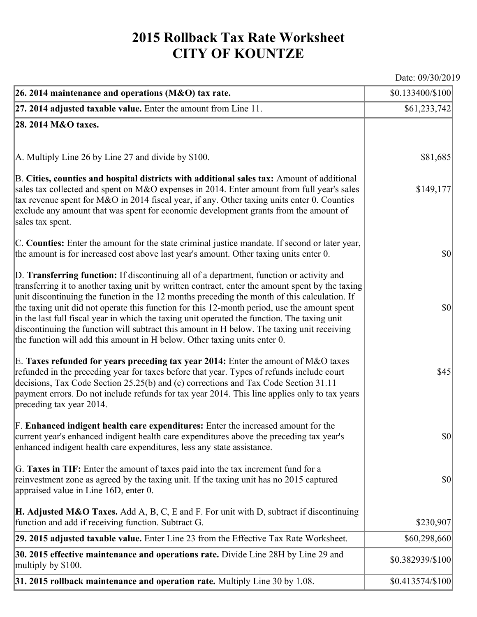## **2015 Rollback Tax Rate Worksheet CITY OF KOUNTZE**

Date: 09/30/2019

| 26. 2014 maintenance and operations (M&O) tax rate.                                                                                                                                                                                                                                                                                                                                                                                                                                                                                                                                                                                                                     | \$0.133400/\$100 |
|-------------------------------------------------------------------------------------------------------------------------------------------------------------------------------------------------------------------------------------------------------------------------------------------------------------------------------------------------------------------------------------------------------------------------------------------------------------------------------------------------------------------------------------------------------------------------------------------------------------------------------------------------------------------------|------------------|
| $ 27.2014$ adjusted taxable value. Enter the amount from Line 11.                                                                                                                                                                                                                                                                                                                                                                                                                                                                                                                                                                                                       | \$61,233,742     |
| 28. 2014 M&O taxes.                                                                                                                                                                                                                                                                                                                                                                                                                                                                                                                                                                                                                                                     |                  |
|                                                                                                                                                                                                                                                                                                                                                                                                                                                                                                                                                                                                                                                                         |                  |
| $ A$ . Multiply Line 26 by Line 27 and divide by \$100.                                                                                                                                                                                                                                                                                                                                                                                                                                                                                                                                                                                                                 | \$81,685         |
| B. Cities, counties and hospital districts with additional sales tax: Amount of additional<br>sales tax collected and spent on M&O expenses in 2014. Enter amount from full year's sales<br>tax revenue spent for M&O in 2014 fiscal year, if any. Other taxing units enter 0. Counties<br>exclude any amount that was spent for economic development grants from the amount of<br>sales tax spent.                                                                                                                                                                                                                                                                     | \$149,177        |
| C. Counties: Enter the amount for the state criminal justice mandate. If second or later year,<br>the amount is for increased cost above last year's amount. Other taxing units enter 0.                                                                                                                                                                                                                                                                                                                                                                                                                                                                                | $ 10\rangle$     |
| D. Transferring function: If discontinuing all of a department, function or activity and<br>transferring it to another taxing unit by written contract, enter the amount spent by the taxing<br>unit discontinuing the function in the 12 months preceding the month of this calculation. If<br>the taxing unit did not operate this function for this 12-month period, use the amount spent<br>in the last full fiscal year in which the taxing unit operated the function. The taxing unit<br>discontinuing the function will subtract this amount in H below. The taxing unit receiving<br>the function will add this amount in H below. Other taxing units enter 0. | $ 10\rangle$     |
| E. Taxes refunded for years preceding tax year 2014: Enter the amount of M&O taxes<br>refunded in the preceding year for taxes before that year. Types of refunds include court<br>decisions, Tax Code Section 25.25(b) and (c) corrections and Tax Code Section 31.11<br>payment errors. Do not include refunds for tax year 2014. This line applies only to tax years<br>preceding tax year 2014.                                                                                                                                                                                                                                                                     | \$45             |
| F. Enhanced indigent health care expenditures: Enter the increased amount for the<br>current year's enhanced indigent health care expenditures above the preceding tax year's<br>enhanced indigent health care expenditures, less any state assistance.                                                                                                                                                                                                                                                                                                                                                                                                                 | \$0              |
| G. Taxes in TIF: Enter the amount of taxes paid into the tax increment fund for a<br>reinvestment zone as agreed by the taxing unit. If the taxing unit has no 2015 captured<br>appraised value in Line 16D, enter 0.                                                                                                                                                                                                                                                                                                                                                                                                                                                   | $ 10\rangle$     |
| <b>H. Adjusted M&amp;O Taxes.</b> Add A, B, C, E and F. For unit with D, subtract if discontinuing<br>function and add if receiving function. Subtract G.                                                                                                                                                                                                                                                                                                                                                                                                                                                                                                               | \$230,907        |
| 29. 2015 adjusted taxable value. Enter Line 23 from the Effective Tax Rate Worksheet.                                                                                                                                                                                                                                                                                                                                                                                                                                                                                                                                                                                   | \$60,298,660     |
| 30. 2015 effective maintenance and operations rate. Divide Line 28H by Line 29 and<br>multiply by \$100.                                                                                                                                                                                                                                                                                                                                                                                                                                                                                                                                                                | \$0.382939/\$100 |
| $31.2015$ rollback maintenance and operation rate. Multiply Line 30 by 1.08.                                                                                                                                                                                                                                                                                                                                                                                                                                                                                                                                                                                            | \$0.413574/\$100 |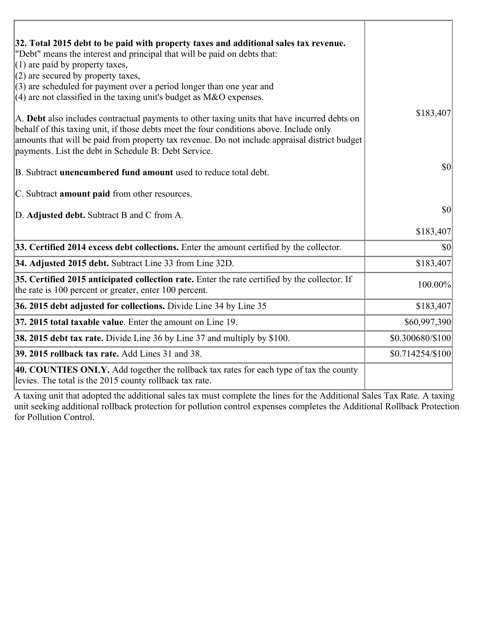| 32. Total 2015 debt to be paid with property taxes and additional sales tax revenue.<br>"Debt" means the interest and principal that will be paid on debts that:<br>$(1)$ are paid by property taxes,                                                                                                                                            |                  |
|--------------------------------------------------------------------------------------------------------------------------------------------------------------------------------------------------------------------------------------------------------------------------------------------------------------------------------------------------|------------------|
| $(2)$ are secured by property taxes,                                                                                                                                                                                                                                                                                                             |                  |
| $(3)$ are scheduled for payment over a period longer than one year and<br>$(4)$ are not classified in the taxing unit's budget as M&O expenses.                                                                                                                                                                                                  |                  |
| A. Debt also includes contractual payments to other taxing units that have incurred debts on<br>behalf of this taxing unit, if those debts meet the four conditions above. Include only<br>amounts that will be paid from property tax revenue. Do not include appraisal district budget<br>payments. List the debt in Schedule B: Debt Service. | \$183,407        |
| B. Subtract unencumbered fund amount used to reduce total debt.                                                                                                                                                                                                                                                                                  | \$0              |
| C. Subtract <b>amount paid</b> from other resources.                                                                                                                                                                                                                                                                                             |                  |
| D. Adjusted debt. Subtract B and C from A.                                                                                                                                                                                                                                                                                                       | \$0              |
|                                                                                                                                                                                                                                                                                                                                                  | \$183,407        |
| 33. Certified 2014 excess debt collections. Enter the amount certified by the collector.                                                                                                                                                                                                                                                         | \$0              |
| 34. Adjusted 2015 debt. Subtract Line 33 from Line 32D.                                                                                                                                                                                                                                                                                          | \$183,407        |
| 35. Certified 2015 anticipated collection rate. Enter the rate certified by the collector. If<br>the rate is 100 percent or greater, enter 100 percent.                                                                                                                                                                                          | 100.00%          |
| 36. 2015 debt adjusted for collections. Divide Line 34 by Line 35                                                                                                                                                                                                                                                                                | \$183,407        |
| 37. 2015 total taxable value. Enter the amount on Line 19.                                                                                                                                                                                                                                                                                       | \$60,997,390     |
| <b>38. 2015 debt tax rate.</b> Divide Line 36 by Line 37 and multiply by \$100.                                                                                                                                                                                                                                                                  | \$0.300680/\$100 |
| 39. 2015 rollback tax rate. Add Lines 31 and 38.                                                                                                                                                                                                                                                                                                 | \$0.714254/\$100 |
| 40. COUNTIES ONLY. Add together the rollback tax rates for each type of tax the county<br>levies. The total is the 2015 county rollback tax rate.                                                                                                                                                                                                |                  |

A taxing unit that adopted the additional sales tax must complete the lines for the Additional Sales Tax Rate. A taxing unit seeking additional rollback protection for pollution control expenses completes the Additional Rollback Protection for Pollution Control.